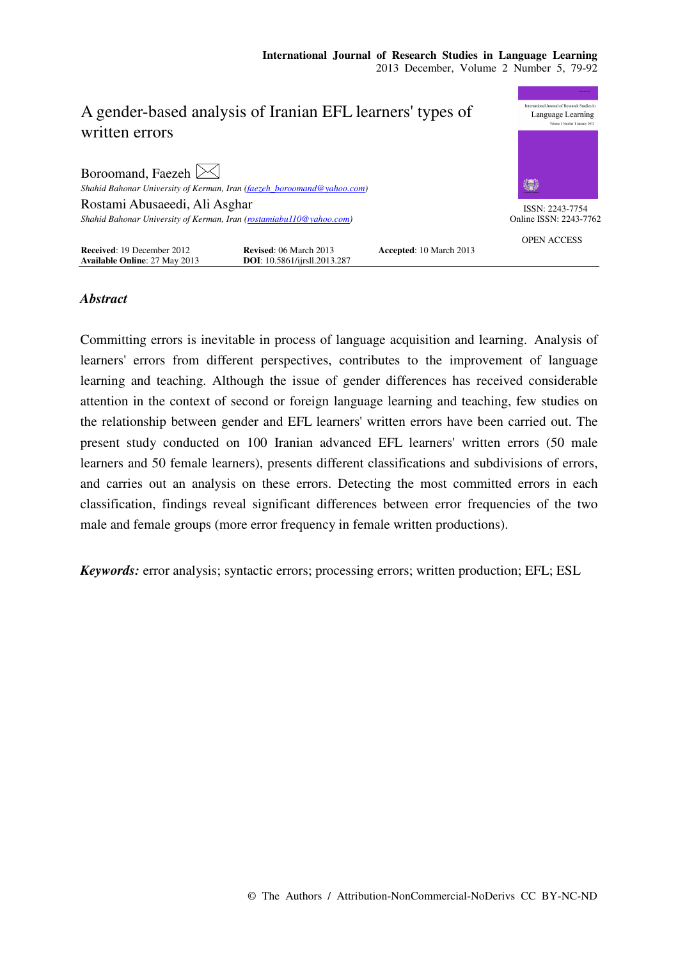|                                                                     |                                                                                                     |                                | <b>BANK MAIL PRO</b>   |
|---------------------------------------------------------------------|-----------------------------------------------------------------------------------------------------|--------------------------------|------------------------|
| A gender-based analysis of Iranian EFL learners' types of           | International Journal of Research Studies in<br>Language Learning<br>Volume 1 Number 1 January 2012 |                                |                        |
| written errors                                                      |                                                                                                     |                                |                        |
| Boroomand, Faezeh $\bowtie$                                         |                                                                                                     |                                |                        |
|                                                                     | Shahid Bahonar University of Kerman, Iran (faezeh_boroomand@yahoo.com)                              |                                | 纂                      |
| Rostami Abusaeedi, Ali Asghar                                       |                                                                                                     |                                | ISSN: 2243-7754        |
| Shahid Bahonar University of Kerman, Iran (rostamiabu110@yahoo.com) |                                                                                                     |                                | Online ISSN: 2243-7762 |
|                                                                     |                                                                                                     |                                | <b>OPEN ACCESS</b>     |
| Received: 19 December 2012                                          | <b>Revised: 06 March 2013</b>                                                                       | <b>Accepted: 10 March 2013</b> |                        |
| <b>Available Online: 27 May 2013</b>                                | <b>DOI</b> : 10.5861/ijrsll.2013.287                                                                |                                |                        |

# *Abstract*

Committing errors is inevitable in process of language acquisition and learning. Analysis of learners' errors from different perspectives, contributes to the improvement of language learning and teaching. Although the issue of gender differences has received considerable attention in the context of second or foreign language learning and teaching, few studies on the relationship between gender and EFL learners' written errors have been carried out. The present study conducted on 100 Iranian advanced EFL learners' written errors (50 male learners and 50 female learners), presents different classifications and subdivisions of errors, and carries out an analysis on these errors. Detecting the most committed errors in each classification, findings reveal significant differences between error frequencies of the two male and female groups (more error frequency in female written productions).

*Keywords:* error analysis; syntactic errors; processing errors; written production; EFL; ESL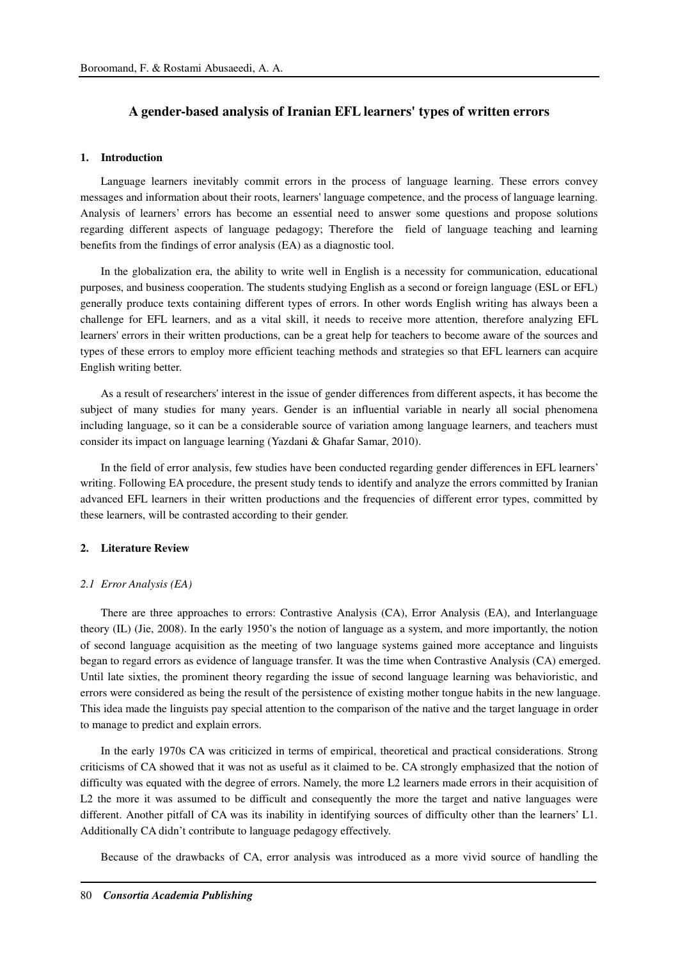### **A gender-based analysis of Iranian EFL learners' types of written errors**

### **1. Introduction**

Language learners inevitably commit errors in the process of language learning. These errors convey messages and information about their roots, learners' language competence, and the process of language learning. Analysis of learners' errors has become an essential need to answer some questions and propose solutions regarding different aspects of language pedagogy; Therefore the field of language teaching and learning benefits from the findings of error analysis (EA) as a diagnostic tool.

In the globalization era, the ability to write well in English is a necessity for communication, educational purposes, and business cooperation. The students studying English as a second or foreign language (ESL or EFL) generally produce texts containing different types of errors. In other words English writing has always been a challenge for EFL learners, and as a vital skill, it needs to receive more attention, therefore analyzing EFL learners' errors in their written productions, can be a great help for teachers to become aware of the sources and types of these errors to employ more efficient teaching methods and strategies so that EFL learners can acquire English writing better.

As a result of researchers' interest in the issue of gender differences from different aspects, it has become the subject of many studies for many years. Gender is an influential variable in nearly all social phenomena including language, so it can be a considerable source of variation among language learners, and teachers must consider its impact on language learning (Yazdani & Ghafar Samar, 2010).

In the field of error analysis, few studies have been conducted regarding gender differences in EFL learners' writing. Following EA procedure, the present study tends to identify and analyze the errors committed by Iranian advanced EFL learners in their written productions and the frequencies of different error types, committed by these learners, will be contrasted according to their gender.

### **2. Literature Review**

#### *2.1 Error Analysis (EA)*

There are three approaches to errors: Contrastive Analysis (CA), Error Analysis (EA), and Interlanguage theory (IL) (Jie, 2008). In the early 1950's the notion of language as a system, and more importantly, the notion of second language acquisition as the meeting of two language systems gained more acceptance and linguists began to regard errors as evidence of language transfer. It was the time when Contrastive Analysis (CA) emerged. Until late sixties, the prominent theory regarding the issue of second language learning was behavioristic, and errors were considered as being the result of the persistence of existing mother tongue habits in the new language. This idea made the linguists pay special attention to the comparison of the native and the target language in order to manage to predict and explain errors.

In the early 1970s CA was criticized in terms of empirical, theoretical and practical considerations. Strong criticisms of CA showed that it was not as useful as it claimed to be. CA strongly emphasized that the notion of difficulty was equated with the degree of errors. Namely, the more L2 learners made errors in their acquisition of L2 the more it was assumed to be difficult and consequently the more the target and native languages were different. Another pitfall of CA was its inability in identifying sources of difficulty other than the learners' L1. Additionally CA didn't contribute to language pedagogy effectively.

Because of the drawbacks of CA, error analysis was introduced as a more vivid source of handling the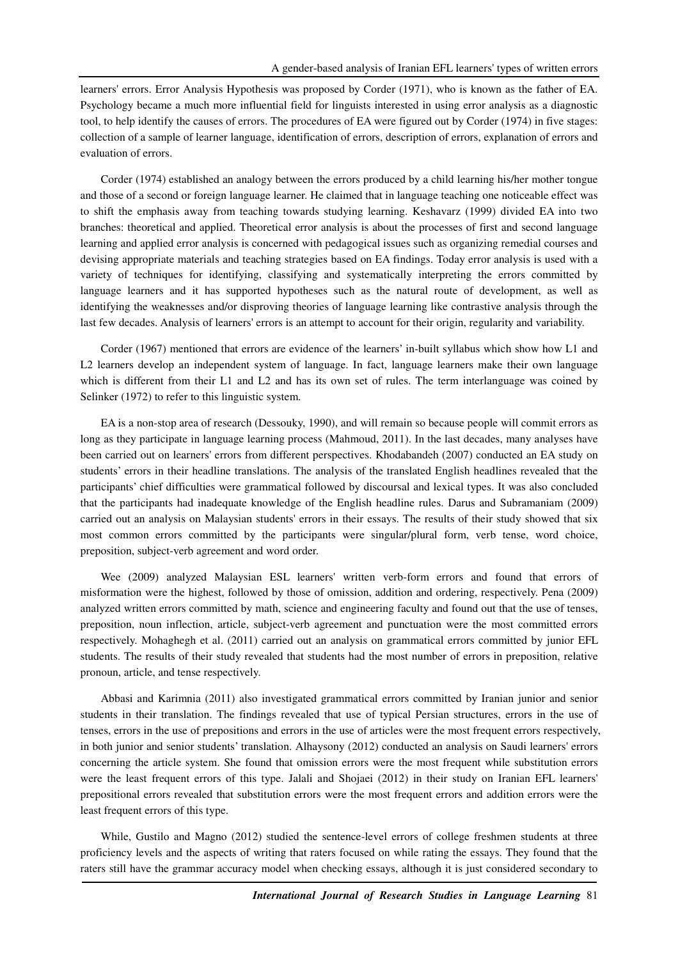learners' errors. Error Analysis Hypothesis was proposed by Corder (1971), who is known as the father of EA. Psychology became a much more influential field for linguists interested in using error analysis as a diagnostic tool, to help identify the causes of errors. The procedures of EA were figured out by Corder (1974) in five stages: collection of a sample of learner language, identification of errors, description of errors, explanation of errors and evaluation of errors.

Corder (1974) established an analogy between the errors produced by a child learning his/her mother tongue and those of a second or foreign language learner. He claimed that in language teaching one noticeable effect was to shift the emphasis away from teaching towards studying learning. Keshavarz (1999) divided EA into two branches: theoretical and applied. Theoretical error analysis is about the processes of first and second language learning and applied error analysis is concerned with pedagogical issues such as organizing remedial courses and devising appropriate materials and teaching strategies based on EA findings. Today error analysis is used with a variety of techniques for identifying, classifying and systematically interpreting the errors committed by language learners and it has supported hypotheses such as the natural route of development, as well as identifying the weaknesses and/or disproving theories of language learning like contrastive analysis through the last few decades. Analysis of learners' errors is an attempt to account for their origin, regularity and variability.

Corder (1967) mentioned that errors are evidence of the learners' in-built syllabus which show how L1 and L2 learners develop an independent system of language. In fact, language learners make their own language which is different from their L1 and L2 and has its own set of rules. The term interlanguage was coined by Selinker (1972) to refer to this linguistic system.

EA is a non-stop area of research (Dessouky, 1990), and will remain so because people will commit errors as long as they participate in language learning process (Mahmoud, 2011). In the last decades, many analyses have been carried out on learners' errors from different perspectives. Khodabandeh (2007) conducted an EA study on students' errors in their headline translations. The analysis of the translated English headlines revealed that the participants' chief difficulties were grammatical followed by discoursal and lexical types. It was also concluded that the participants had inadequate knowledge of the English headline rules. Darus and Subramaniam (2009) carried out an analysis on Malaysian students' errors in their essays. The results of their study showed that six most common errors committed by the participants were singular/plural form, verb tense, word choice, preposition, subject-verb agreement and word order.

Wee (2009) analyzed Malaysian ESL learners' written verb-form errors and found that errors of misformation were the highest, followed by those of omission, addition and ordering, respectively. Pena (2009) analyzed written errors committed by math, science and engineering faculty and found out that the use of tenses, preposition, noun inflection, article, subject-verb agreement and punctuation were the most committed errors respectively. Mohaghegh et al. (2011) carried out an analysis on grammatical errors committed by junior EFL students. The results of their study revealed that students had the most number of errors in preposition, relative pronoun, article, and tense respectively.

Abbasi and Karimnia (2011) also investigated grammatical errors committed by Iranian junior and senior students in their translation. The findings revealed that use of typical Persian structures, errors in the use of tenses, errors in the use of prepositions and errors in the use of articles were the most frequent errors respectively, in both junior and senior students' translation. Alhaysony (2012) conducted an analysis on Saudi learners' errors concerning the article system. She found that omission errors were the most frequent while substitution errors were the least frequent errors of this type. Jalali and Shojaei (2012) in their study on Iranian EFL learners' prepositional errors revealed that substitution errors were the most frequent errors and addition errors were the least frequent errors of this type.

While, Gustilo and Magno (2012) studied the sentence-level errors of college freshmen students at three proficiency levels and the aspects of writing that raters focused on while rating the essays. They found that the raters still have the grammar accuracy model when checking essays, although it is just considered secondary to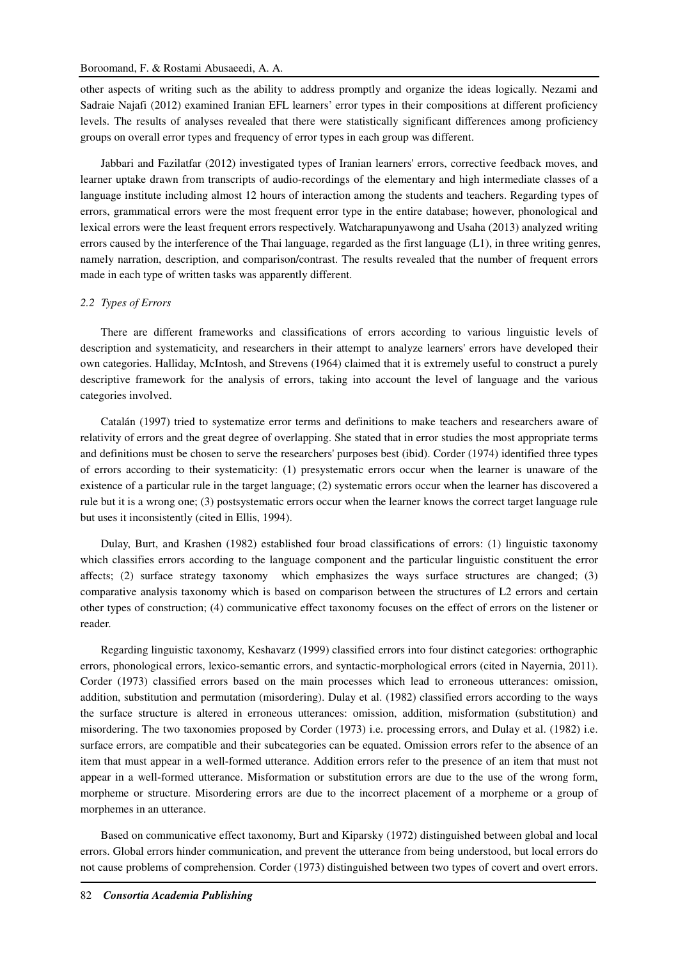other aspects of writing such as the ability to address promptly and organize the ideas logically. Nezami and Sadraie Najafi (2012) examined Iranian EFL learners' error types in their compositions at different proficiency levels. The results of analyses revealed that there were statistically significant differences among proficiency groups on overall error types and frequency of error types in each group was different.

Jabbari and Fazilatfar (2012) investigated types of Iranian learners' errors, corrective feedback moves, and learner uptake drawn from transcripts of audio-recordings of the elementary and high intermediate classes of a language institute including almost 12 hours of interaction among the students and teachers. Regarding types of errors, grammatical errors were the most frequent error type in the entire database; however, phonological and lexical errors were the least frequent errors respectively. Watcharapunyawong and Usaha (2013) analyzed writing errors caused by the interference of the Thai language, regarded as the first language (L1), in three writing genres, namely narration, description, and comparison/contrast. The results revealed that the number of frequent errors made in each type of written tasks was apparently different.

#### *2.2 Types of Errors*

There are different frameworks and classifications of errors according to various linguistic levels of description and systematicity, and researchers in their attempt to analyze learners' errors have developed their own categories. Halliday, McIntosh, and Strevens (1964) claimed that it is extremely useful to construct a purely descriptive framework for the analysis of errors, taking into account the level of language and the various categories involved.

Catalán (1997) tried to systematize error terms and definitions to make teachers and researchers aware of relativity of errors and the great degree of overlapping. She stated that in error studies the most appropriate terms and definitions must be chosen to serve the researchers' purposes best (ibid). Corder (1974) identified three types of errors according to their systematicity: (1) presystematic errors occur when the learner is unaware of the existence of a particular rule in the target language; (2) systematic errors occur when the learner has discovered a rule but it is a wrong one; (3) postsystematic errors occur when the learner knows the correct target language rule but uses it inconsistently (cited in Ellis, 1994).

Dulay, Burt, and Krashen (1982) established four broad classifications of errors: (1) linguistic taxonomy which classifies errors according to the language component and the particular linguistic constituent the error affects; (2) surface strategy taxonomy which emphasizes the ways surface structures are changed; (3) comparative analysis taxonomy which is based on comparison between the structures of L2 errors and certain other types of construction; (4) communicative effect taxonomy focuses on the effect of errors on the listener or reader.

Regarding linguistic taxonomy, Keshavarz (1999) classified errors into four distinct categories: orthographic errors, phonological errors, lexico-semantic errors, and syntactic-morphological errors (cited in Nayernia, 2011). Corder (1973) classified errors based on the main processes which lead to erroneous utterances: omission, addition, substitution and permutation (misordering). Dulay et al. (1982) classified errors according to the ways the surface structure is altered in erroneous utterances: omission, addition, misformation (substitution) and misordering. The two taxonomies proposed by Corder (1973) i.e. processing errors, and Dulay et al. (1982) i.e. surface errors, are compatible and their subcategories can be equated. Omission errors refer to the absence of an item that must appear in a well-formed utterance. Addition errors refer to the presence of an item that must not appear in a well-formed utterance. Misformation or substitution errors are due to the use of the wrong form, morpheme or structure. Misordering errors are due to the incorrect placement of a morpheme or a group of morphemes in an utterance.

Based on communicative effect taxonomy, Burt and Kiparsky (1972) distinguished between global and local errors. Global errors hinder communication, and prevent the utterance from being understood, but local errors do not cause problems of comprehension. Corder (1973) distinguished between two types of covert and overt errors.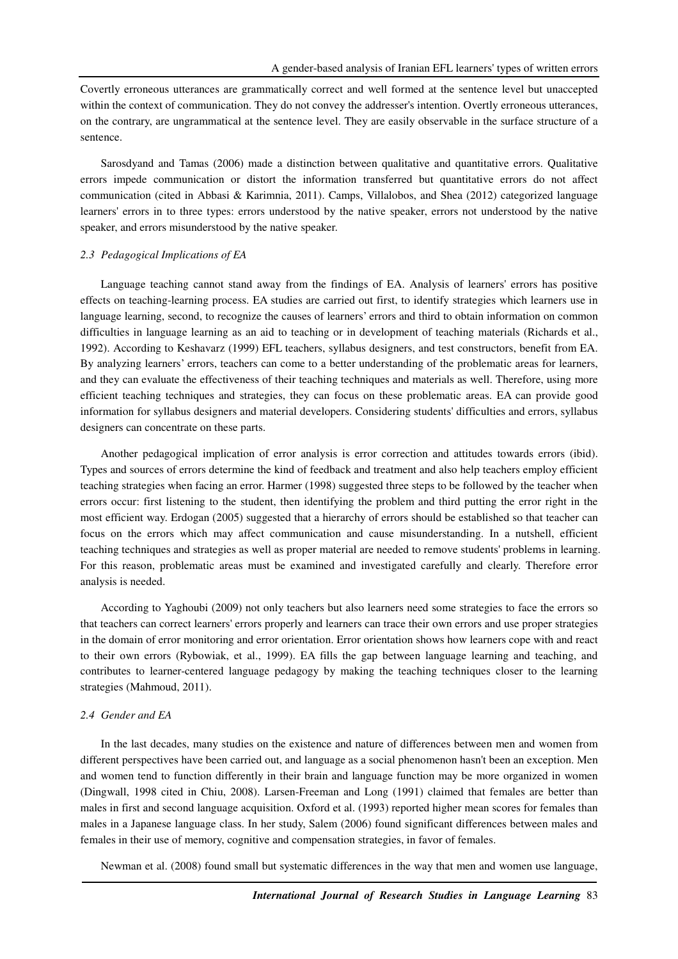Covertly erroneous utterances are grammatically correct and well formed at the sentence level but unaccepted within the context of communication. They do not convey the addresser's intention. Overtly erroneous utterances, on the contrary, are ungrammatical at the sentence level. They are easily observable in the surface structure of a sentence.

Sarosdyand and Tamas (2006) made a distinction between qualitative and quantitative errors. Qualitative errors impede communication or distort the information transferred but quantitative errors do not affect communication (cited in Abbasi & Karimnia, 2011). Camps, Villalobos, and Shea (2012) categorized language learners' errors in to three types: errors understood by the native speaker, errors not understood by the native speaker, and errors misunderstood by the native speaker.

#### *2.3 Pedagogical Implications of EA*

Language teaching cannot stand away from the findings of EA. Analysis of learners' errors has positive effects on teaching-learning process. EA studies are carried out first, to identify strategies which learners use in language learning, second, to recognize the causes of learners' errors and third to obtain information on common difficulties in language learning as an aid to teaching or in development of teaching materials (Richards et al., 1992). According to Keshavarz (1999) EFL teachers, syllabus designers, and test constructors, benefit from EA. By analyzing learners' errors, teachers can come to a better understanding of the problematic areas for learners, and they can evaluate the effectiveness of their teaching techniques and materials as well. Therefore, using more efficient teaching techniques and strategies, they can focus on these problematic areas. EA can provide good information for syllabus designers and material developers. Considering students' difficulties and errors, syllabus designers can concentrate on these parts.

Another pedagogical implication of error analysis is error correction and attitudes towards errors (ibid). Types and sources of errors determine the kind of feedback and treatment and also help teachers employ efficient teaching strategies when facing an error. Harmer (1998) suggested three steps to be followed by the teacher when errors occur: first listening to the student, then identifying the problem and third putting the error right in the most efficient way. Erdogan (2005) suggested that a hierarchy of errors should be established so that teacher can focus on the errors which may affect communication and cause misunderstanding. In a nutshell, efficient teaching techniques and strategies as well as proper material are needed to remove students' problems in learning. For this reason, problematic areas must be examined and investigated carefully and clearly. Therefore error analysis is needed.

According to Yaghoubi (2009) not only teachers but also learners need some strategies to face the errors so that teachers can correct learners' errors properly and learners can trace their own errors and use proper strategies in the domain of error monitoring and error orientation. Error orientation shows how learners cope with and react to their own errors (Rybowiak, et al., 1999). EA fills the gap between language learning and teaching, and contributes to learner-centered language pedagogy by making the teaching techniques closer to the learning strategies (Mahmoud, 2011).

#### *2.4 Gender and EA*

In the last decades, many studies on the existence and nature of differences between men and women from different perspectives have been carried out, and language as a social phenomenon hasn't been an exception. Men and women tend to function differently in their brain and language function may be more organized in women (Dingwall, 1998 cited in Chiu, 2008). Larsen-Freeman and Long (1991) claimed that females are better than males in first and second language acquisition. Oxford et al. (1993) reported higher mean scores for females than males in a Japanese language class. In her study, Salem (2006) found significant differences between males and females in their use of memory, cognitive and compensation strategies, in favor of females.

Newman et al. (2008) found small but systematic differences in the way that men and women use language,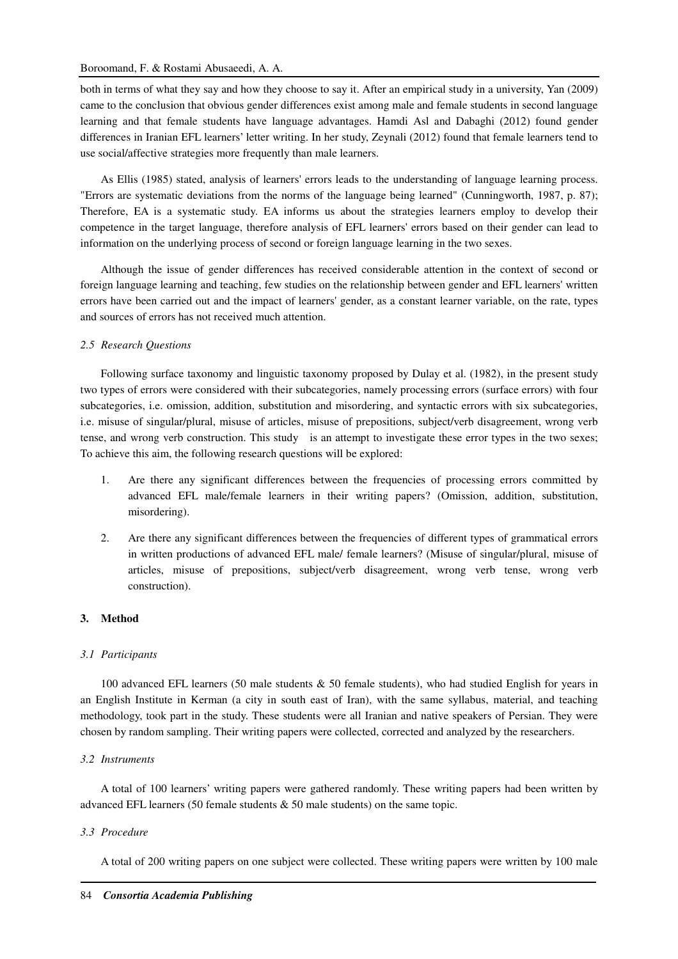both in terms of what they say and how they choose to say it. After an empirical study in a university, Yan (2009) came to the conclusion that obvious gender differences exist among male and female students in second language learning and that female students have language advantages. Hamdi Asl and Dabaghi (2012) found gender differences in Iranian EFL learners' letter writing. In her study, Zeynali (2012) found that female learners tend to use social/affective strategies more frequently than male learners.

As Ellis (1985) stated, analysis of learners' errors leads to the understanding of language learning process. "Errors are systematic deviations from the norms of the language being learned" (Cunningworth, 1987, p. 87); Therefore, EA is a systematic study. EA informs us about the strategies learners employ to develop their competence in the target language, therefore analysis of EFL learners' errors based on their gender can lead to information on the underlying process of second or foreign language learning in the two sexes.

Although the issue of gender differences has received considerable attention in the context of second or foreign language learning and teaching, few studies on the relationship between gender and EFL learners' written errors have been carried out and the impact of learners' gender, as a constant learner variable, on the rate, types and sources of errors has not received much attention.

### *2.5 Research Questions*

Following surface taxonomy and linguistic taxonomy proposed by Dulay et al. (1982), in the present study two types of errors were considered with their subcategories, namely processing errors (surface errors) with four subcategories, i.e. omission, addition, substitution and misordering, and syntactic errors with six subcategories, i.e. misuse of singular/plural, misuse of articles, misuse of prepositions, subject/verb disagreement, wrong verb tense, and wrong verb construction. This study is an attempt to investigate these error types in the two sexes; To achieve this aim, the following research questions will be explored:

- 1. Are there any significant differences between the frequencies of processing errors committed by advanced EFL male/female learners in their writing papers? (Omission, addition, substitution, misordering).
- 2. Are there any significant differences between the frequencies of different types of grammatical errors in written productions of advanced EFL male/ female learners? (Misuse of singular/plural, misuse of articles, misuse of prepositions, subject/verb disagreement, wrong verb tense, wrong verb construction).

## **3. Method**

### *3.1 Participants*

100 advanced EFL learners (50 male students & 50 female students), who had studied English for years in an English Institute in Kerman (a city in south east of Iran), with the same syllabus, material, and teaching methodology, took part in the study. These students were all Iranian and native speakers of Persian. They were chosen by random sampling. Their writing papers were collected, corrected and analyzed by the researchers.

### *3.2 Instruments*

A total of 100 learners' writing papers were gathered randomly. These writing papers had been written by advanced EFL learners (50 female students & 50 male students) on the same topic.

### *3.3 Procedure*

A total of 200 writing papers on one subject were collected. These writing papers were written by 100 male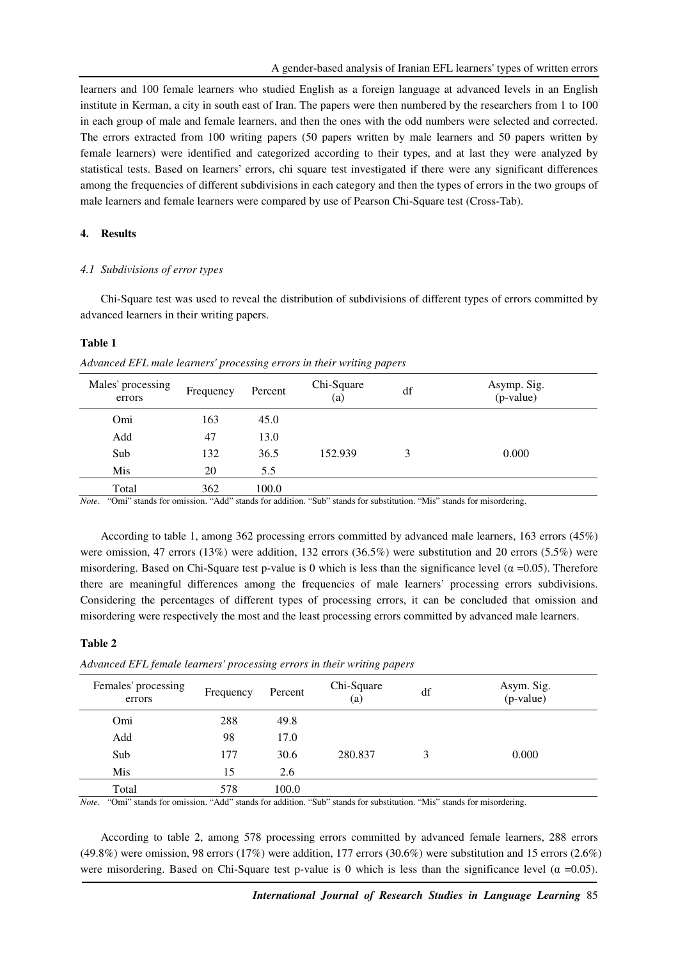learners and 100 female learners who studied English as a foreign language at advanced levels in an English institute in Kerman, a city in south east of Iran. The papers were then numbered by the researchers from 1 to 100 in each group of male and female learners, and then the ones with the odd numbers were selected and corrected. The errors extracted from 100 writing papers (50 papers written by male learners and 50 papers written by female learners) were identified and categorized according to their types, and at last they were analyzed by statistical tests. Based on learners' errors, chi square test investigated if there were any significant differences among the frequencies of different subdivisions in each category and then the types of errors in the two groups of male learners and female learners were compared by use of Pearson Chi-Square test (Cross-Tab).

### **4. Results**

#### *4.1 Subdivisions of error types*

Chi-Square test was used to reveal the distribution of subdivisions of different types of errors committed by advanced learners in their writing papers.

### **Table 1**

*Advanced EFL male learners' processing errors in their writing papers* 

| Males' processing<br>errors | Frequency | Percent | Chi-Square<br>(a) | df | Asymp. Sig.<br>$(p-value)$ |
|-----------------------------|-----------|---------|-------------------|----|----------------------------|
| Omi                         | 163       | 45.0    |                   |    |                            |
| Add                         | 47        | 13.0    |                   |    |                            |
| Sub                         | 132       | 36.5    | 152.939           | 3  | 0.000                      |
| Mis                         | 20        | 5.5     |                   |    |                            |
| Total                       | 362       | 100.0   |                   |    |                            |

*Note*. "Omi" stands for omission. "Add" stands for addition. "Sub" stands for substitution. "Mis" stands for misordering.

According to table 1, among 362 processing errors committed by advanced male learners, 163 errors (45%) were omission, 47 errors (13%) were addition, 132 errors (36.5%) were substitution and 20 errors (5.5%) were misordering. Based on Chi-Square test p-value is 0 which is less than the significance level ( $\alpha$  =0.05). Therefore there are meaningful differences among the frequencies of male learners' processing errors subdivisions. Considering the percentages of different types of processing errors, it can be concluded that omission and misordering were respectively the most and the least processing errors committed by advanced male learners.

### **Table 2**

| Females' processing<br>errors | Frequency | Percent | Chi-Square<br>(a) | df | Asym. Sig.<br>(p-value) |
|-------------------------------|-----------|---------|-------------------|----|-------------------------|
| Omi                           | 288       | 49.8    |                   |    |                         |
| Add                           | 98        | 17.0    |                   |    |                         |
| Sub                           | 177       | 30.6    | 280.837           | 3  | 0.000                   |
| Mis                           | 15        | 2.6     |                   |    |                         |
| Total<br>$\sim$ $\sim$        | 578       | 100.0   |                   |    | .                       |

*Advanced EFL female learners' processing errors in their writing papers*

*Note*. "Omi" stands for omission. "Add" stands for addition. "Sub" stands for substitution. "Mis" stands for misordering.

According to table 2, among 578 processing errors committed by advanced female learners, 288 errors (49.8%) were omission, 98 errors (17%) were addition, 177 errors (30.6%) were substitution and 15 errors (2.6%) were misordering. Based on Chi-Square test p-value is 0 which is less than the significance level ( $\alpha = 0.05$ ).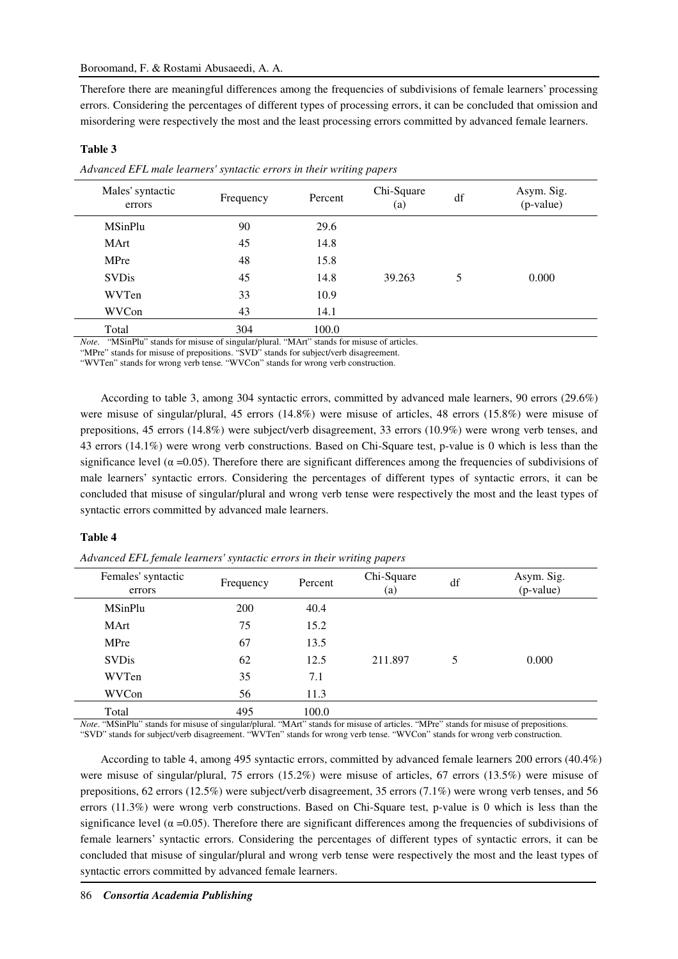Therefore there are meaningful differences among the frequencies of subdivisions of female learners' processing errors. Considering the percentages of different types of processing errors, it can be concluded that omission and misordering were respectively the most and the least processing errors committed by advanced female learners.

| Males' syntactic<br>errors | Frequency | Percent | Chi-Square<br>(a) | df | Asym. Sig.<br>(p-value) |
|----------------------------|-----------|---------|-------------------|----|-------------------------|
| <b>MSinPlu</b>             | 90        | 29.6    |                   |    |                         |
| MArt                       | 45        | 14.8    |                   |    |                         |
| MPre                       | 48        | 15.8    |                   |    |                         |
| <b>SVDis</b>               | 45        | 14.8    | 39.263            | 5  | 0.000                   |
| WVTen                      | 33        | 10.9    |                   |    |                         |
| WVCon                      | 43        | 14.1    |                   |    |                         |
| Total                      | 304       | 100.0   |                   |    |                         |

*Advanced EFL male learners' syntactic errors in their writing papers*

*Note.* "MSinPlu" stands for misuse of singular/plural. "MArt" stands for misuse of articles.

"MPre" stands for misuse of prepositions. "SVD" stands for subject/verb disagreement.

"WVTen" stands for wrong verb tense. "WVCon" stands for wrong verb construction.

According to table 3, among 304 syntactic errors, committed by advanced male learners, 90 errors (29.6%) were misuse of singular/plural, 45 errors (14.8%) were misuse of articles, 48 errors (15.8%) were misuse of prepositions, 45 errors (14.8%) were subject/verb disagreement, 33 errors (10.9%) were wrong verb tenses, and 43 errors (14.1%) were wrong verb constructions. Based on Chi-Square test, p-value is 0 which is less than the significance level ( $\alpha$  =0.05). Therefore there are significant differences among the frequencies of subdivisions of male learners' syntactic errors. Considering the percentages of different types of syntactic errors, it can be concluded that misuse of singular/plural and wrong verb tense were respectively the most and the least types of syntactic errors committed by advanced male learners.

#### **Table 4**

**Table 3** 

*Advanced EFL female learners' syntactic errors in their writing papers* 

| Females' syntactic<br>errors | Frequency | Percent | Chi-Square<br>(a) | df | Asym. Sig.<br>(p-value) |
|------------------------------|-----------|---------|-------------------|----|-------------------------|
| <b>MSinPlu</b>               | 200       | 40.4    |                   |    |                         |
| <b>MArt</b>                  | 75        | 15.2    |                   |    |                         |
| MPre                         | 67        | 13.5    |                   |    |                         |
| <b>SVDis</b>                 | 62        | 12.5    | 211.897           | 5  | 0.000                   |
| WVTen                        | 35        | 7.1     |                   |    |                         |
| WVCon                        | 56        | 11.3    |                   |    |                         |
| Total                        | 495       | 100.0   |                   |    |                         |

*Note*. "MSinPlu" stands for misuse of singular/plural. "MArt" stands for misuse of articles. "MPre" stands for misuse of prepositions. "SVD" stands for subject/verb disagreement. "WVTen" stands for wrong verb tense. "WVCon" stands for wrong verb construction.

According to table 4, among 495 syntactic errors, committed by advanced female learners 200 errors (40.4%) were misuse of singular/plural, 75 errors (15.2%) were misuse of articles, 67 errors (13.5%) were misuse of prepositions, 62 errors (12.5%) were subject/verb disagreement, 35 errors (7.1%) were wrong verb tenses, and 56 errors (11.3%) were wrong verb constructions. Based on Chi-Square test, p-value is 0 which is less than the significance level ( $\alpha$  =0.05). Therefore there are significant differences among the frequencies of subdivisions of female learners' syntactic errors. Considering the percentages of different types of syntactic errors, it can be concluded that misuse of singular/plural and wrong verb tense were respectively the most and the least types of syntactic errors committed by advanced female learners.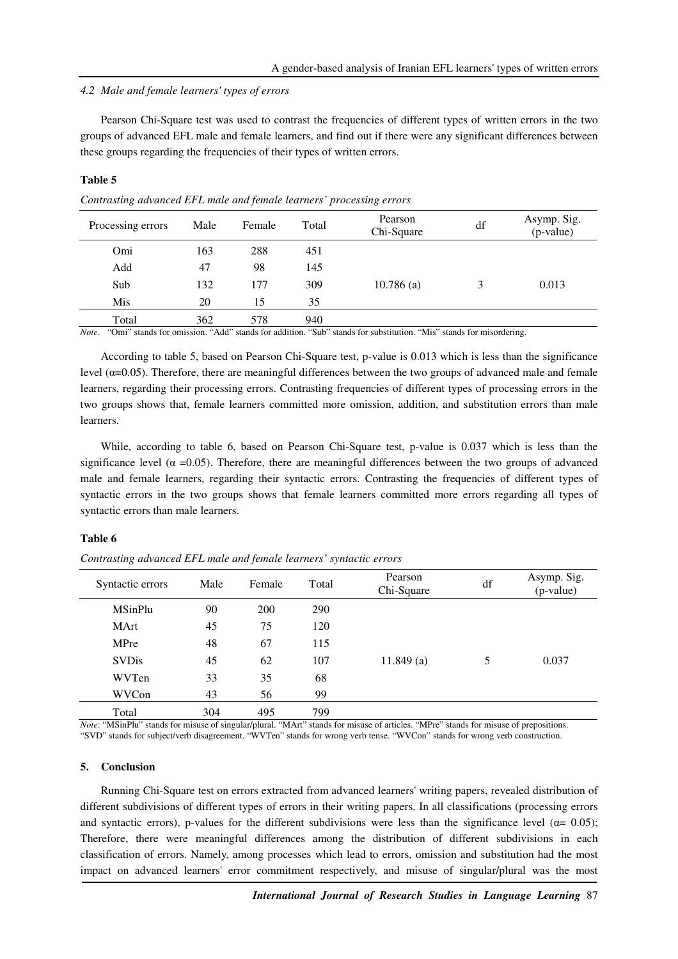### *4.2 Male and female learners' types of errors*

Pearson Chi-Square test was used to contrast the frequencies of different types of written errors in the two groups of advanced EFL male and female learners, and find out if there were any significant differences between these groups regarding the frequencies of their types of written errors.

## **Table 5**

Processing errors Male Female Total Pearson<br>Chi-Square  $A$ symp. Sig. (p-value) Omi 163 288 451 Add 47 98 145 Sub 132 177 309 10.786 (a) 3 0.013 Mis 20 15 35 Total 362 578 940

*Contrasting advanced EFL male and female learners' processing errors* 

*Note*. "Omi" stands for omission. "Add" stands for addition. "Sub" stands for substitution. "Mis" stands for misordering.

According to table 5, based on Pearson Chi-Square test, p-value is 0.013 which is less than the significance level ( $α=0.05$ ). Therefore, there are meaningful differences between the two groups of advanced male and female learners, regarding their processing errors. Contrasting frequencies of different types of processing errors in the two groups shows that, female learners committed more omission, addition, and substitution errors than male learners.

While, according to table 6, based on Pearson Chi-Square test, p-value is 0.037 which is less than the significance level ( $\alpha$  =0.05). Therefore, there are meaningful differences between the two groups of advanced male and female learners, regarding their syntactic errors. Contrasting the frequencies of different types of syntactic errors in the two groups shows that female learners committed more errors regarding all types of syntactic errors than male learners.

#### **Table 6**

*Contrasting advanced EFL male and female learners' syntactic errors* 

| Syntactic errors | Male | Female | Total | Pearson<br>Chi-Square | df | Asymp. Sig.<br>(p-value) |
|------------------|------|--------|-------|-----------------------|----|--------------------------|
| <b>MSinPlu</b>   | 90   | 200    | 290   |                       |    |                          |
| <b>MArt</b>      | 45   | 75     | 120   |                       |    |                          |
| MPre             | 48   | 67     | 115   |                       |    |                          |
| <b>SVDis</b>     | 45   | 62     | 107   | 11.849(a)             | 5  | 0.037                    |
| WVTen            | 33   | 35     | 68    |                       |    |                          |
| WVCon            | 43   | 56     | 99    |                       |    |                          |
| Total            | 304  | 495    | 799   |                       |    |                          |

*Note*: "MSinPlu" stands for misuse of singular/plural. "MArt" stands for misuse of articles. "MPre" stands for misuse of prepositions. "SVD" stands for subject/verb disagreement. "WVTen" stands for wrong verb tense. "WVCon" stands for wrong verb construction.

### **5. Conclusion**

Running Chi-Square test on errors extracted from advanced learners' writing papers, revealed distribution of different subdivisions of different types of errors in their writing papers. In all classifications (processing errors and syntactic errors), p-values for the different subdivisions were less than the significance level ( $\alpha$ = 0.05); Therefore, there were meaningful differences among the distribution of different subdivisions in each classification of errors. Namely, among processes which lead to errors, omission and substitution had the most impact on advanced learners' error commitment respectively, and misuse of singular/plural was the most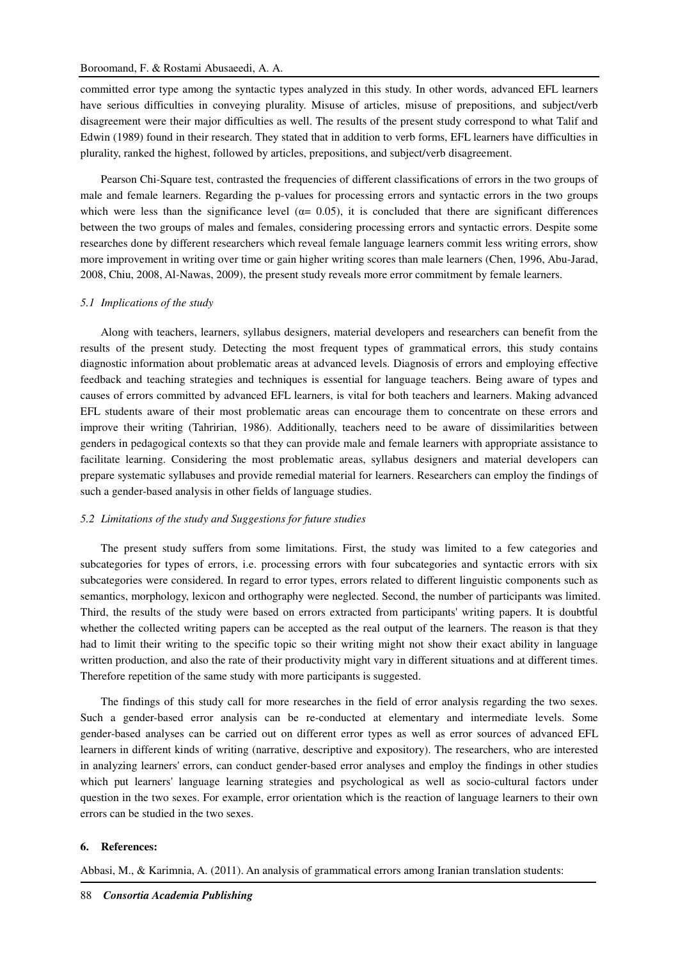committed error type among the syntactic types analyzed in this study. In other words, advanced EFL learners have serious difficulties in conveying plurality. Misuse of articles, misuse of prepositions, and subject/verb disagreement were their major difficulties as well. The results of the present study correspond to what Talif and Edwin (1989) found in their research. They stated that in addition to verb forms, EFL learners have difficulties in plurality, ranked the highest, followed by articles, prepositions, and subject/verb disagreement.

Pearson Chi-Square test, contrasted the frequencies of different classifications of errors in the two groups of male and female learners. Regarding the p-values for processing errors and syntactic errors in the two groups which were less than the significance level ( $\alpha$ = 0.05), it is concluded that there are significant differences between the two groups of males and females, considering processing errors and syntactic errors. Despite some researches done by different researchers which reveal female language learners commit less writing errors, show more improvement in writing over time or gain higher writing scores than male learners (Chen, 1996, Abu-Jarad, 2008, Chiu, 2008, Al-Nawas, 2009), the present study reveals more error commitment by female learners.

#### *5.1 Implications of the study*

Along with teachers, learners, syllabus designers, material developers and researchers can benefit from the results of the present study. Detecting the most frequent types of grammatical errors, this study contains diagnostic information about problematic areas at advanced levels. Diagnosis of errors and employing effective feedback and teaching strategies and techniques is essential for language teachers. Being aware of types and causes of errors committed by advanced EFL learners, is vital for both teachers and learners. Making advanced EFL students aware of their most problematic areas can encourage them to concentrate on these errors and improve their writing (Tahririan, 1986). Additionally, teachers need to be aware of dissimilarities between genders in pedagogical contexts so that they can provide male and female learners with appropriate assistance to facilitate learning. Considering the most problematic areas, syllabus designers and material developers can prepare systematic syllabuses and provide remedial material for learners. Researchers can employ the findings of such a gender-based analysis in other fields of language studies.

#### *5.2 Limitations of the study and Suggestions for future studies*

The present study suffers from some limitations. First, the study was limited to a few categories and subcategories for types of errors, i.e. processing errors with four subcategories and syntactic errors with six subcategories were considered. In regard to error types, errors related to different linguistic components such as semantics, morphology, lexicon and orthography were neglected. Second, the number of participants was limited. Third, the results of the study were based on errors extracted from participants' writing papers. It is doubtful whether the collected writing papers can be accepted as the real output of the learners. The reason is that they had to limit their writing to the specific topic so their writing might not show their exact ability in language written production, and also the rate of their productivity might vary in different situations and at different times. Therefore repetition of the same study with more participants is suggested.

The findings of this study call for more researches in the field of error analysis regarding the two sexes. Such a gender-based error analysis can be re-conducted at elementary and intermediate levels. Some gender-based analyses can be carried out on different error types as well as error sources of advanced EFL learners in different kinds of writing (narrative, descriptive and expository). The researchers, who are interested in analyzing learners' errors, can conduct gender-based error analyses and employ the findings in other studies which put learners' language learning strategies and psychological as well as socio-cultural factors under question in the two sexes. For example, error orientation which is the reaction of language learners to their own errors can be studied in the two sexes.

#### **6. References:**

Abbasi, M., & Karimnia, A. (2011). An analysis of grammatical errors among Iranian translation students: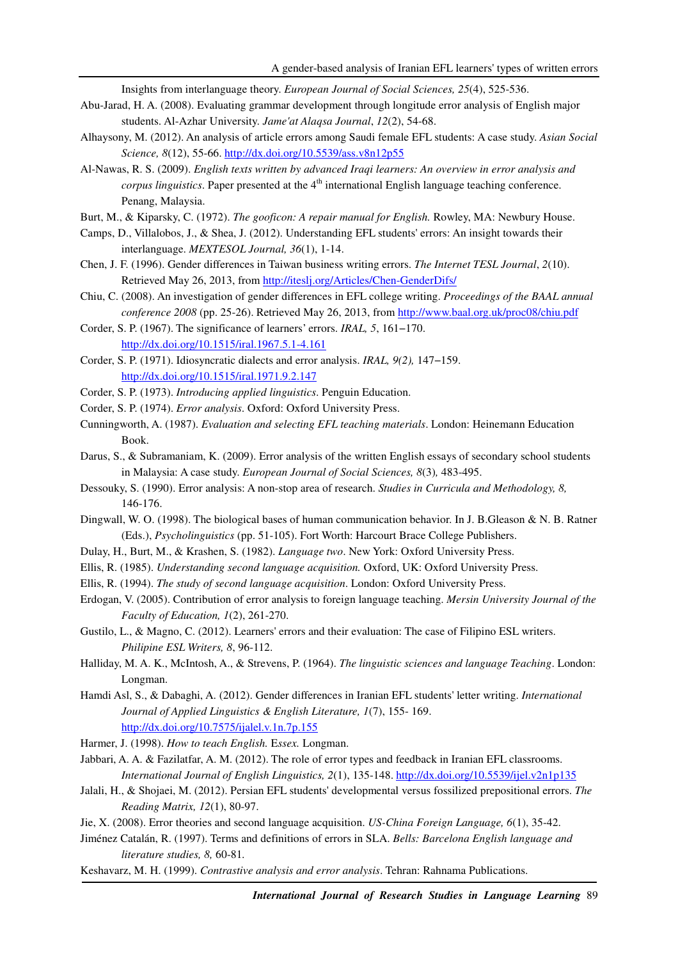Insights from interlanguage theory. *European Journal of Social Sciences, 25*(4), 525-536.

- Abu-Jarad, H. A. (2008). Evaluating grammar development through longitude error analysis of English major students. Al-Azhar University. *Jame'at Alaqsa Journal*, *12*(2), 54-68.
- Alhaysony, M. (2012). An analysis of article errors among Saudi female EFL students: A case study. *Asian Social Science, 8*(12), 55-66. http://dx.doi.org/10.5539/ass.v8n12p55
- Al-Nawas, R. S. (2009). *English texts written by advanced Iraqi learners: An overview in error analysis and corpus linguistics*. Paper presented at the 4<sup>th</sup> international English language teaching conference. Penang, Malaysia.
- Burt, M., & Kiparsky, C. (1972). *The gooficon: A repair manual for English.* Rowley, MA: Newbury House.
- Camps, D., Villalobos, J., & Shea, J. (2012). Understanding EFL students' errors: An insight towards their interlanguage. *MEXTESOL Journal, 36*(1), 1-14.
- Chen, J. F. (1996). Gender differences in Taiwan business writing errors. *The Internet TESL Journal*, *2*(10). Retrieved May 26, 2013, from http://iteslj.org/Articles/Chen-GenderDifs/
- Chiu, C. (2008). An investigation of gender differences in EFL college writing. *Proceedings of the BAAL annual conference 2008* (pp. 25-26). Retrieved May 26, 2013, from http://www.baal.org.uk/proc08/chiu.pdf
- Corder, S. P. (1967). The significance of learners' errors. *IRAL, 5*, 161−170. http://dx.doi.org/10.1515/iral.1967.5.1-4.161
- Corder, S. P. (1971). Idiosyncratic dialects and error analysis. *IRAL, 9(2),* 147−159. http://dx.doi.org/10.1515/iral.1971.9.2.147
- Corder, S. P. (1973). *Introducing applied linguistics*. Penguin Education.
- Corder, S. P. (1974). *Error analysis*. Oxford: Oxford University Press.
- Cunningworth, A. (1987). *Evaluation and selecting EFL teaching materials*. London: Heinemann Education Book.
- Darus, S., & Subramaniam, K. (2009). Error analysis of the written English essays of secondary school students in Malaysia: A case study. *European Journal of Social Sciences, 8*(3)*,* 483-495.
- Dessouky, S. (1990). Error analysis: A non-stop area of research. *Studies in Curricula and Methodology, 8,*  146-176.
- Dingwall, W. O. (1998). The biological bases of human communication behavior. In J. B.Gleason & N. B. Ratner (Eds.), *Psycholinguistics* (pp. 51-105). Fort Worth: Harcourt Brace College Publishers.
- Dulay, H., Burt, M., & Krashen, S. (1982). *Language two*. New York: Oxford University Press.
- Ellis, R. (1985). *Understanding second language acquisition.* Oxford, UK: Oxford University Press.
- Ellis, R. (1994). *The study of second language acquisition*. London: Oxford University Press.
- Erdogan, V. (2005). Contribution of error analysis to foreign language teaching. *Mersin University Journal of the Faculty of Education, 1*(2), 261-270.
- Gustilo, L., & Magno, C. (2012). Learners' errors and their evaluation: The case of Filipino ESL writers. *Philipine ESL Writers, 8*, 96-112.
- Halliday, M. A. K., McIntosh, A., & Strevens, P. (1964). *The linguistic sciences and language Teaching*. London: Longman.
- Hamdi Asl, S., & Dabaghi, A. (2012). Gender differences in Iranian EFL students' letter writing. *International Journal of Applied Linguistics & English Literature, 1*(7), 155- 169. http://dx.doi.org/10.7575/ijalel.v.1n.7p.155
- Harmer, J. (1998). *How to teach English.* E*ssex.* Longman.
- Jabbari, A. A. & Fazilatfar, A. M. (2012). The role of error types and feedback in Iranian EFL classrooms. *International Journal of English Linguistics, 2*(1), 135-148. http://dx.doi.org/10.5539/ijel.v2n1p135
- Jalali, H., & Shojaei, M. (2012). Persian EFL students' developmental versus fossilized prepositional errors. *The Reading Matrix, 12*(1), 80-97.
- Jie, X. (2008). Error theories and second language acquisition. *US-China Foreign Language, 6*(1), 35-42.
- Jiménez Catalán, R. (1997). Terms and definitions of errors in SLA. *Bells: Barcelona English language and literature studies, 8,* 60-81*.*
- Keshavarz, M. H. (1999). *Contrastive analysis and error analysis*. Tehran: Rahnama Publications.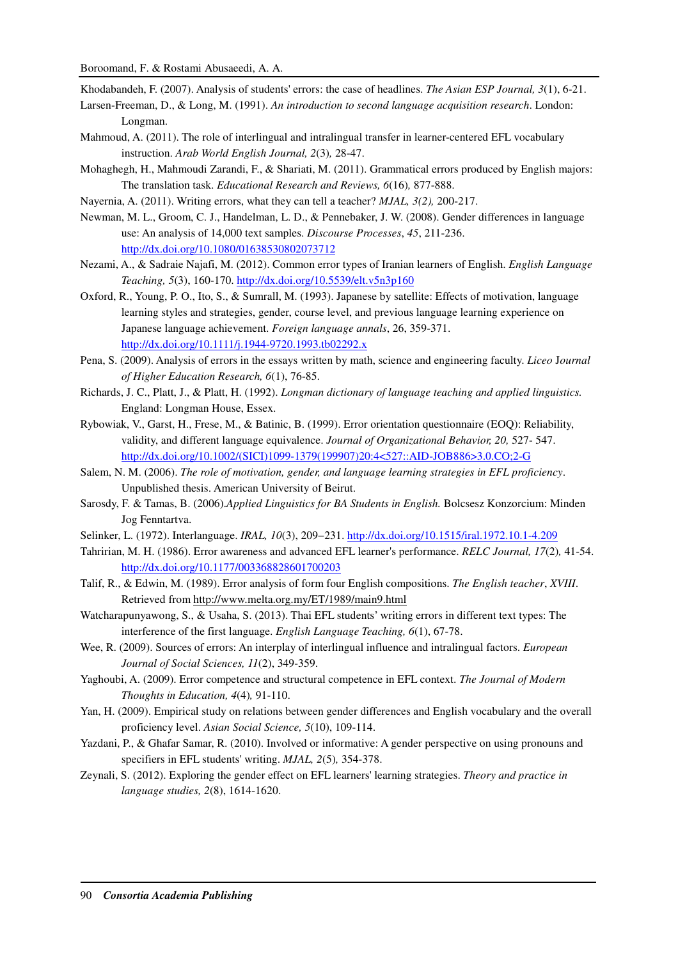Khodabandeh, F. (2007). Analysis of students' errors: the case of headlines. *The Asian ESP Journal, 3*(1), 6-21.

- Larsen-Freeman, D., & Long, M. (1991). *An introduction to second language acquisition research*. London: Longman.
- Mahmoud, A. (2011). The role of interlingual and intralingual transfer in learner-centered EFL vocabulary instruction. *Arab World English Journal, 2*(3)*,* 28-47.
- Mohaghegh, H., Mahmoudi Zarandi, F., & Shariati, M. (2011). Grammatical errors produced by English majors: The translation task. *Educational Research and Reviews, 6*(16)*,* 877-888.
- Nayernia, A. (2011). Writing errors, what they can tell a teacher? *MJAL, 3(2),* 200-217.
- Newman, M. L., Groom, C. J., Handelman, L. D., & Pennebaker, J. W. (2008). Gender differences in language use: An analysis of 14,000 text samples. *Discourse Processes*, *45*, 211-236. http://dx.doi.org/10.1080/01638530802073712
- Nezami, A., & Sadraie Najafi, M. (2012). Common error types of Iranian learners of English. *English Language Teaching, 5*(3), 160-170. http://dx.doi.org/10.5539/elt.v5n3p160
- Oxford, R., Young, P. O., Ito, S., & Sumrall, M. (1993). Japanese by satellite: Effects of motivation, language learning styles and strategies, gender, course level, and previous language learning experience on Japanese language achievement. *Foreign language annals*, 26, 359-371. http://dx.doi.org/10.1111/j.1944-9720.1993.tb02292.x
- Pena, S. (2009). Analysis of errors in the essays written by math, science and engineering faculty. *Liceo* J*ournal of Higher Education Research, 6*(1), 76-85.
- Richards, J. C., Platt, J., & Platt, H. (1992). *Longman dictionary of language teaching and applied linguistics.* England: Longman House, Essex.
- Rybowiak, V., Garst, H., Frese, M., & Batinic, B. (1999). Error orientation questionnaire (EOQ): Reliability, validity, and different language equivalence. *Journal of Organizational Behavior, 20,* 527- 547. http://dx.doi.org/10.1002/(SICI)1099-1379(199907)20:4<527::AID-JOB886>3.0.CO;2-G
- Salem, N. M. (2006). *The role of motivation, gender, and language learning strategies in EFL proficiency*. Unpublished thesis. American University of Beirut.
- Sarosdy, F. & Tamas, B. (2006).*Applied Linguistics for BA Students in English.* Bolcsesz Konzorcium: Minden Jog Fenntartva.
- Selinker, L. (1972). Interlanguage. *IRAL, 10*(3), 209−231. http://dx.doi.org/10.1515/iral.1972.10.1-4.209
- Tahririan, M. H. (1986). Error awareness and advanced EFL learner's performance. *RELC Journal, 17*(2)*,* 41-54. http://dx.doi.org/10.1177/003368828601700203
- Talif, R., & Edwin, M. (1989). Error analysis of form four English compositions. *The English teacher*, *XVIII*. Retrieved from http://www.melta.org.my/ET/1989/main9.html
- Watcharapunyawong, S., & Usaha, S. (2013). Thai EFL students' writing errors in different text types: The interference of the first language. *English Language Teaching, 6*(1), 67-78.
- Wee, R. (2009). Sources of errors: An interplay of interlingual influence and intralingual factors. *European Journal of Social Sciences, 11*(2), 349-359.
- Yaghoubi, A. (2009). Error competence and structural competence in EFL context. *The Journal of Modern Thoughts in Education, 4*(4)*,* 91-110.
- Yan, H. (2009). Empirical study on relations between gender differences and English vocabulary and the overall proficiency level. *Asian Social Science, 5*(10), 109-114.
- Yazdani, P., & Ghafar Samar, R. (2010). Involved or informative: A gender perspective on using pronouns and specifiers in EFL students' writing. *MJAL, 2*(5)*,* 354-378.
- Zeynali, S. (2012). Exploring the gender effect on EFL learners' learning strategies. *Theory and practice in language studies, 2*(8), 1614-1620.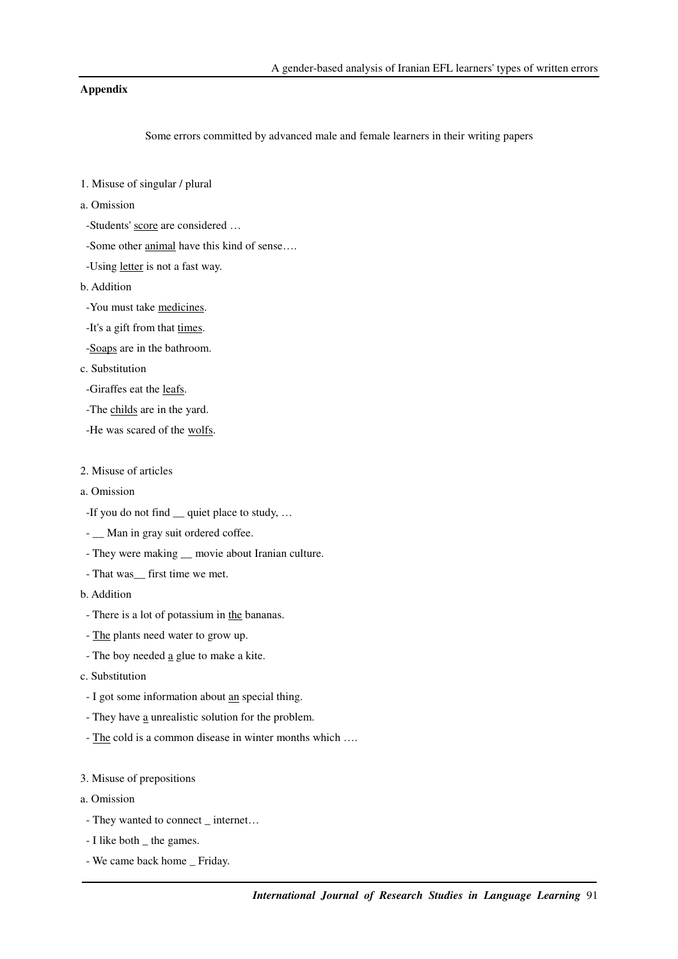## **Appendix**

Some errors committed by advanced male and female learners in their writing papers

- 1. Misuse of singular / plural
- a. Omission
- -Students' score are considered …
- -Some other animal have this kind of sense….
- -Using letter is not a fast way.
- b. Addition
	- -You must take medicines.
	- -It's a gift from that times.
	- -Soaps are in the bathroom.
- c. Substitution
	- -Giraffes eat the leafs.
	- -The childs are in the yard.
	- -He was scared of the wolfs.
- 2. Misuse of articles
- a. Omission
	- -If you do not find \_\_ quiet place to study, …
- \_ Man in gray suit ordered coffee.
- They were making  $\_\_$  movie about Iranian culture.
- That was\_\_ first time we met.
- b. Addition
- There is a lot of potassium in the bananas.
- The plants need water to grow up.
- The boy needed a glue to make a kite.
- c. Substitution
	- I got some information about an special thing.
	- They have a unrealistic solution for the problem.
	- The cold is a common disease in winter months which ….
- 3. Misuse of prepositions
- a. Omission
- They wanted to connect internet...
- I like both \_ the games.
- We came back home \_ Friday.